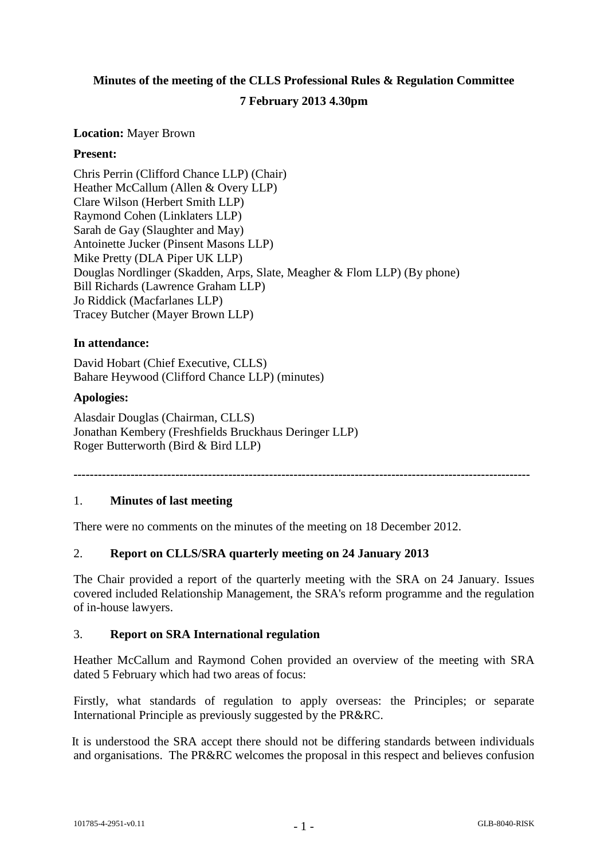# **Minutes of the meeting of the CLLS Professional Rules & Regulation Committee 7 February 2013 4.30pm**

## **Location:** Mayer Brown

# **Present:**

Chris Perrin (Clifford Chance LLP) (Chair) Heather McCallum (Allen & Overy LLP) Clare Wilson (Herbert Smith LLP) Raymond Cohen (Linklaters LLP) Sarah de Gay (Slaughter and May) Antoinette Jucker (Pinsent Masons LLP) Mike Pretty (DLA Piper UK LLP) Douglas Nordlinger (Skadden, Arps, Slate, Meagher & Flom LLP) (By phone) Bill Richards (Lawrence Graham LLP) Jo Riddick (Macfarlanes LLP) Tracey Butcher (Mayer Brown LLP)

# **In attendance:**

David Hobart (Chief Executive, CLLS) Bahare Heywood (Clifford Chance LLP) (minutes)

# **Apologies:**

Alasdair Douglas (Chairman, CLLS) Jonathan Kembery (Freshfields Bruckhaus Deringer LLP) Roger Butterworth (Bird & Bird LLP)

**----------------------------------------------------------------------------------------------------------------**

# 1. **Minutes of last meeting**

There were no comments on the minutes of the meeting on 18 December 2012.

# 2. **Report on CLLS/SRA quarterly meeting on 24 January 2013**

The Chair provided a report of the quarterly meeting with the SRA on 24 January. Issues covered included Relationship Management, the SRA's reform programme and the regulation of in-house lawyers.

#### 3. **Report on SRA International regulation**

Heather McCallum and Raymond Cohen provided an overview of the meeting with SRA dated 5 February which had two areas of focus:

Firstly, what standards of regulation to apply overseas: the Principles; or separate International Principle as previously suggested by the PR&RC.

It is understood the SRA accept there should not be differing standards between individuals and organisations. The PR&RC welcomes the proposal in this respect and believes confusion

- 1 -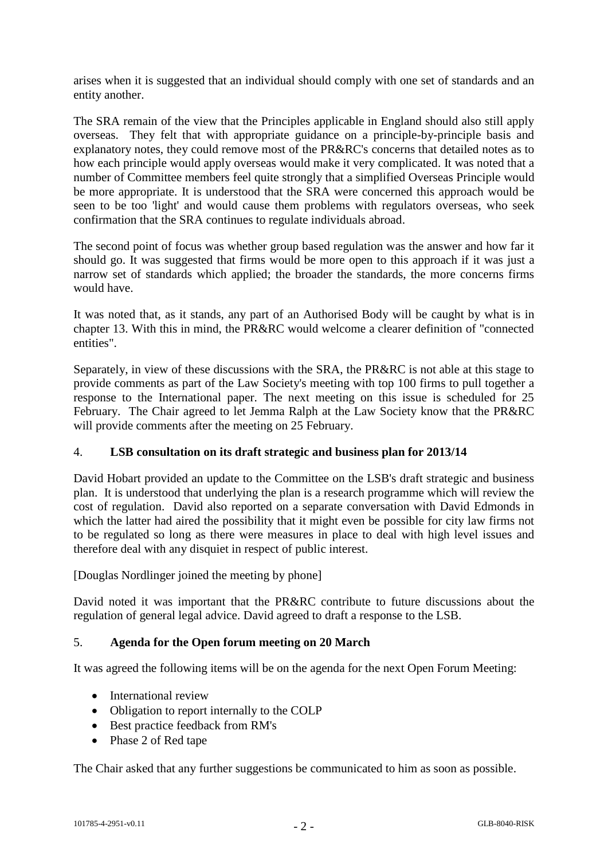arises when it is suggested that an individual should comply with one set of standards and an entity another.

The SRA remain of the view that the Principles applicable in England should also still apply overseas. They felt that with appropriate guidance on a principle-by-principle basis and explanatory notes, they could remove most of the PR&RC's concerns that detailed notes as to how each principle would apply overseas would make it very complicated. It was noted that a number of Committee members feel quite strongly that a simplified Overseas Principle would be more appropriate. It is understood that the SRA were concerned this approach would be seen to be too 'light' and would cause them problems with regulators overseas, who seek confirmation that the SRA continues to regulate individuals abroad.

The second point of focus was whether group based regulation was the answer and how far it should go. It was suggested that firms would be more open to this approach if it was just a narrow set of standards which applied; the broader the standards, the more concerns firms would have.

It was noted that, as it stands, any part of an Authorised Body will be caught by what is in chapter 13. With this in mind, the PR&RC would welcome a clearer definition of "connected entities".

Separately, in view of these discussions with the SRA, the PR&RC is not able at this stage to provide comments as part of the Law Society's meeting with top 100 firms to pull together a response to the International paper. The next meeting on this issue is scheduled for 25 February. The Chair agreed to let Jemma Ralph at the Law Society know that the PR&RC will provide comments after the meeting on 25 February.

# 4. **LSB consultation on its draft strategic and business plan for 2013/14**

David Hobart provided an update to the Committee on the LSB's draft strategic and business plan. It is understood that underlying the plan is a research programme which will review the cost of regulation. David also reported on a separate conversation with David Edmonds in which the latter had aired the possibility that it might even be possible for city law firms not to be regulated so long as there were measures in place to deal with high level issues and therefore deal with any disquiet in respect of public interest.

[Douglas Nordlinger joined the meeting by phone]

David noted it was important that the PR&RC contribute to future discussions about the regulation of general legal advice. David agreed to draft a response to the LSB.

#### 5. **Agenda for the Open forum meeting on 20 March**

It was agreed the following items will be on the agenda for the next Open Forum Meeting:

- International review
- Obligation to report internally to the COLP
- Best practice feedback from RM's
- Phase 2 of Red tape

The Chair asked that any further suggestions be communicated to him as soon as possible.